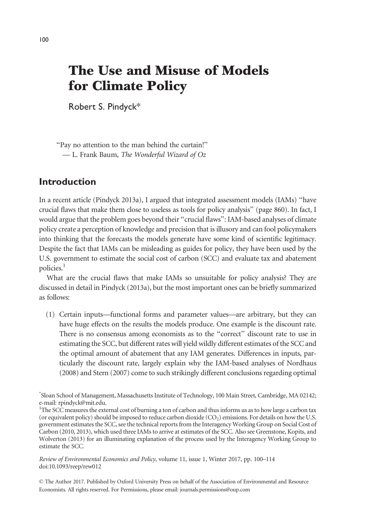# The Use and Misuse of Models for Climate Policy

Robert S. Pindyck\*

"Pay no attention to the man behind the curtain!" — L. Frank Baum, The Wonderful Wizard of Oz

### Introduction

In a recent article [\(Pindyck 2013a\)](#page-13-0), I argued that integrated assessment models (IAMs) "have crucial flaws that make them close to useless as tools for policy analysis" (page 860). In fact, I would argue that the problem goes beyond their "crucial flaws": IAM-based analyses of climate policy create a perception of knowledge and precision that is illusory and can fool policymakers into thinking that the forecasts the models generate have some kind of scientific legitimacy. Despite the fact that IAMs can be misleading as guides for policy, they have been used by the U.S. government to estimate the social cost of carbon (SCC) and evaluate tax and abatement policies.<sup>1</sup>

What are the crucial flaws that make IAMs so unsuitable for policy analysis? They are discussed in detail in [Pindyck \(2013a\)](#page-13-0), but the most important ones can be briefly summarized as follows:

(1) Certain inputs—functional forms and parameter values—are arbitrary, but they can have huge effects on the results the models produce. One example is the discount rate. There is no consensus among economists as to the "correct" discount rate to use in estimating the SCC, but different rates will yield wildly different estimates of the SCC and the optimal amount of abatement that any IAM generates. Differences in inputs, particularly the discount rate, largely explain why the IAM-based analyses of [Nordhaus](#page-13-0) [\(2008\)](#page-13-0) and [Stern \(2007\)](#page-14-0) come to such strikingly different conclusions regarding optimal

Review of Environmental Economics and Policy, volume 11, issue 1, Winter 2017, pp. 100–114 doi:10.1093/reep/rew012

- The Author 2017. Published by Oxford University Press on behalf of the Association of Environmental and Resource Economists. All rights reserved. For Permissions, please email: journals.permissions@oup.com

<sup>\*</sup> Sloan School of Management, Massachusetts Institute of Technology, 100 Main Street, Cambridge, MA 02142; e-mail: rpindyck@mit.edu.

<sup>&</sup>lt;sup>1</sup>The SCC measures the external cost of burning a ton of carbon and thus informs us as to how large a carbon tax (or equivalent policy) should be imposed to reduce carbon dioxide  $(CO<sub>2</sub>)$  emissions. For details on how the U.S. government estimates the SCC, see the technical reports from the [Interagency Working Group on Social Cost of](#page-13-0) [Carbon \(2010, 2013](#page-13-0)), which used three IAMs to arrive at estimates of the SCC. Also see [Greenstone, Kopits, and](#page-13-0) [Wolverton \(2013\)](#page-13-0) for an illuminating explanation of the process used by the Interagency Working Group to estimate the SCC.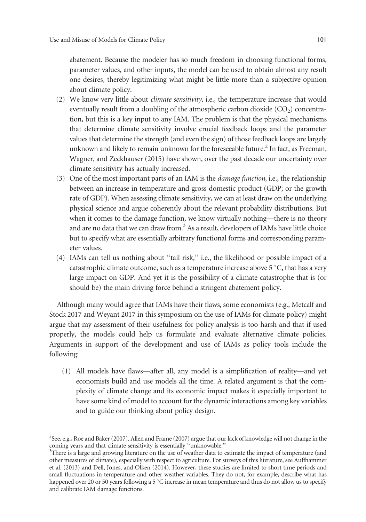abatement. Because the modeler has so much freedom in choosing functional forms, parameter values, and other inputs, the model can be used to obtain almost any result one desires, thereby legitimizing what might be little more than a subjective opinion about climate policy.

- (2) We know very little about climate sensitivity, i.e., the temperature increase that would eventually result from a doubling of the atmospheric carbon dioxide  $(CO<sub>2</sub>)$  concentration, but this is a key input to any IAM. The problem is that the physical mechanisms that determine climate sensitivity involve crucial feedback loops and the parameter values that determine the strength (and even the sign) of those feedback loops are largely unknown and likely to remain unknown for the foreseeable future.<sup>2</sup> In fact, as [Freeman,](#page-13-0) [Wagner, and Zeckhauser \(2015\)](#page-13-0) have shown, over the past decade our uncertainty over climate sensitivity has actually increased.
- (3) One of the most important parts of an IAM is the damage function, i.e., the relationship between an increase in temperature and gross domestic product (GDP; or the growth rate of GDP). When assessing climate sensitivity, we can at least draw on the underlying physical science and argue coherently about the relevant probability distributions. But when it comes to the damage function, we know virtually nothing—there is no theory and are no data that we can draw from.<sup>3</sup> As a result, developers of IAMs have little choice but to specify what are essentially arbitrary functional forms and corresponding parameter values.
- (4) IAMs can tell us nothing about "tail risk," i.e., the likelihood or possible impact of a catastrophic climate outcome, such as a temperature increase above  $5^{\circ}$ C, that has a very large impact on GDP. And yet it is the possibility of a climate catastrophe that is (or should be) the main driving force behind a stringent abatement policy.

Although many would agree that IAMs have their flaws, some economists (e.g., [Metcalf and](#page-13-0) [Stock 2017](#page-13-0) and [Weyant 2017](#page-14-0) in this symposium on the use of IAMs for climate policy) might argue that my assessment of their usefulness for policy analysis is too harsh and that if used properly, the models could help us formulate and evaluate alternative climate policies. Arguments in support of the development and use of IAMs as policy tools include the following:

(1) All models have flaws—after all, any model is a simplification of reality—and yet economists build and use models all the time. A related argument is that the complexity of climate change and its economic impact makes it especially important to have some kind of model to account for the dynamic interactions among key variables and to guide our thinking about policy design.

<sup>&</sup>lt;sup>2</sup>See, e.g., [Roe and Baker \(2007\)](#page-14-0). [Allen and Frame \(2007\)](#page-13-0) argue that our lack of knowledge will not change in the coming years and that climate sensitivity is essentially "unknowable."

<sup>&</sup>lt;sup>3</sup>There is a large and growing literature on the use of weather data to estimate the impact of temperature (and other measures of climate), especially with respect to agriculture. For surveys of this literature, see [Auffhammer](#page-13-0) [et al. \(2013\)](#page-13-0) and [Dell, Jones, and Olken \(2014\).](#page-13-0) However, these studies are limited to short time periods and small fluctuations in temperature and other weather variables. They do not, for example, describe what has happened over 20 or 50 years following a 5  $^{\circ}$ C increase in mean temperature and thus do not allow us to specify and calibrate IAM damage functions.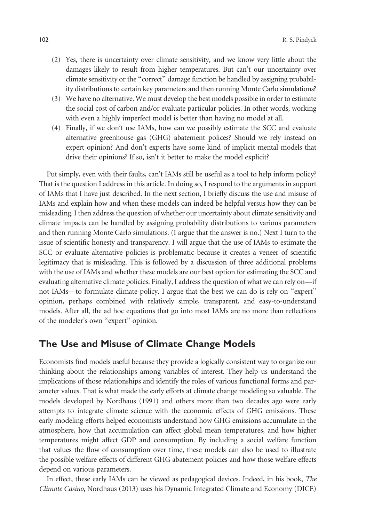- (2) Yes, there is uncertainty over climate sensitivity, and we know very little about the damages likely to result from higher temperatures. But can't our uncertainty over climate sensitivity or the "correct" damage function be handled by assigning probability distributions to certain key parameters and then running Monte Carlo simulations?
- (3) We have no alternative. We must develop the best models possible in order to estimate the social cost of carbon and/or evaluate particular policies. In other words, working with even a highly imperfect model is better than having no model at all.
- (4) Finally, if we don't use IAMs, how can we possibly estimate the SCC and evaluate alternative greenhouse gas (GHG) abatement polices? Should we rely instead on expert opinion? And don't experts have some kind of implicit mental models that drive their opinions? If so, isn't it better to make the model explicit?

Put simply, even with their faults, can't IAMs still be useful as a tool to help inform policy? That is the question I address in this article. In doing so, I respond to the arguments in support of IAMs that I have just described. In the next section, I briefly discuss the use and misuse of IAMs and explain how and when these models can indeed be helpful versus how they can be misleading. I then address the question of whether our uncertainty about climate sensitivity and climate impacts can be handled by assigning probability distributions to various parameters and then running Monte Carlo simulations. (I argue that the answer is no.) Next I turn to the issue of scientific honesty and transparency. I will argue that the use of IAMs to estimate the SCC or evaluate alternative policies is problematic because it creates a veneer of scientific legitimacy that is misleading. This is followed by a discussion of three additional problems with the use of IAMs and whether these models are our best option for estimating the SCC and evaluating alternative climate policies. Finally, I address the question of what we can rely on—if not IAMs—to formulate climate policy. I argue that the best we can do is rely on "expert" opinion, perhaps combined with relatively simple, transparent, and easy-to-understand models. After all, the ad hoc equations that go into most IAMs are no more than reflections of the modeler's own "expert" opinion.

### The Use and Misuse of Climate Change Models

Economists find models useful because they provide a logically consistent way to organize our thinking about the relationships among variables of interest. They help us understand the implications of those relationships and identify the roles of various functional forms and parameter values. That is what made the early efforts at climate change modeling so valuable. The models developed by [Nordhaus \(1991\)](#page-13-0) and others more than two decades ago were early attempts to integrate climate science with the economic effects of GHG emissions. These early modeling efforts helped economists understand how GHG emissions accumulate in the atmosphere, how that accumulation can affect global mean temperatures, and how higher temperatures might affect GDP and consumption. By including a social welfare function that values the flow of consumption over time, these models can also be used to illustrate the possible welfare effects of different GHG abatement policies and how those welfare effects depend on various parameters.

In effect, these early IAMs can be viewed as pedagogical devices. Indeed, in his book, The Climate Casino, [Nordhaus \(2013\)](#page-13-0) uses his Dynamic Integrated Climate and Economy (DICE)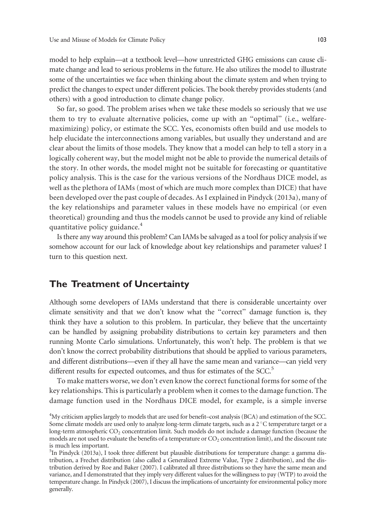model to help explain—at a textbook level—how unrestricted GHG emissions can cause climate change and lead to serious problems in the future. He also utilizes the model to illustrate some of the uncertainties we face when thinking about the climate system and when trying to predict the changes to expect under different policies. The book thereby provides students (and others) with a good introduction to climate change policy.

So far, so good. The problem arises when we take these models so seriously that we use them to try to evaluate alternative policies, come up with an "optimal" (i.e., welfaremaximizing) policy, or estimate the SCC. Yes, economists often build and use models to help elucidate the interconnections among variables, but usually they understand and are clear about the limits of those models. They know that a model can help to tell a story in a logically coherent way, but the model might not be able to provide the numerical details of the story. In other words, the model might not be suitable for forecasting or quantitative policy analysis. This is the case for the various versions of the Nordhaus DICE model, as well as the plethora of IAMs (most of which are much more complex than DICE) that have been developed over the past couple of decades. As I explained in [Pindyck \(2013a\)](#page-13-0), many of the key relationships and parameter values in these models have no empirical (or even theoretical) grounding and thus the models cannot be used to provide any kind of reliable quantitative policy guidance.<sup>4</sup>

Is there any way around this problem? Can IAMs be salvaged as a tool for policy analysis if we somehow account for our lack of knowledge about key relationships and parameter values? I turn to this question next.

# The Treatment of Uncertainty

Although some developers of IAMs understand that there is considerable uncertainty over climate sensitivity and that we don't know what the "correct" damage function is, they think they have a solution to this problem. In particular, they believe that the uncertainty can be handled by assigning probability distributions to certain key parameters and then running Monte Carlo simulations. Unfortunately, this won't help. The problem is that we don't know the correct probability distributions that should be applied to various parameters, and different distributions—even if they all have the same mean and variance—can yield very different results for expected outcomes, and thus for estimates of the SCC.<sup>5</sup>

To make matters worse, we don't even know the correct functional forms for some of the key relationships. This is particularly a problem when it comes to the damage function. The damage function used in the Nordhaus DICE model, for example, is a simple inverse

<sup>&</sup>lt;sup>4</sup>My criticism applies largely to models that are used for benefit-cost analysis (BCA) and estimation of the SCC. Some climate models are used only to analyze long-term climate targets, such as a 2 °C temperature target or a long-term atmospheric CO<sub>2</sub> concentration limit. Such models do not include a damage function (because the models are not used to evaluate the benefits of a temperature or  $CO<sub>2</sub>$  concentration limit), and the discount rate is much less important.

<sup>&</sup>lt;sup>5</sup>In [Pindyck \(2013a\)](#page-13-0), I took three different but plausible distributions for temperature change: a gamma distribution, a Frechet distribution (also called a Generalized Extreme Value, Type 2 distribution), and the distribution derived by [Roe and Baker \(2007\)](#page-14-0). I calibrated all three distributions so they have the same mean and variance, and I demonstrated that they imply very different values for the willingness to pay (WTP) to avoid the temperature change. In [Pindyck \(2007\),](#page-13-0) I discuss the implications of uncertainty for environmental policy more generally.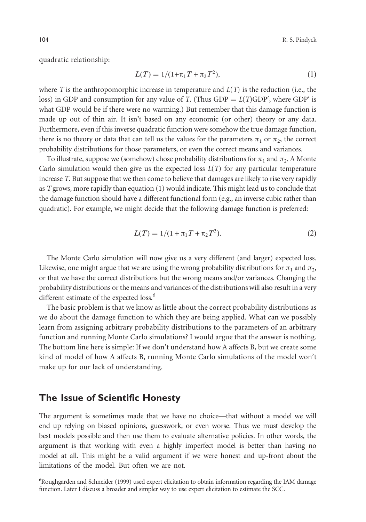quadratic relationship:

$$
L(T) = 1/(1 + \pi_1 T + \pi_2 T^2),
$$
\n(1)

where T is the anthropomorphic increase in temperature and  $L(T)$  is the reduction (i.e., the loss) in GDP and consumption for any value of T. (Thus GDP =  $L(T)$ GDP', where GDP' is what GDP would be if there were no warming.) But remember that this damage function is made up out of thin air. It isn't based on any economic (or other) theory or any data. Furthermore, even if this inverse quadratic function were somehow the true damage function, there is no theory or data that can tell us the values for the parameters  $\pi_1$  or  $\pi_2$ , the correct probability distributions for those parameters, or even the correct means and variances.

To illustrate, suppose we (somehow) chose probability distributions for  $\pi_1$  and  $\pi_2$ . A Monte Carlo simulation would then give us the expected loss  $L(T)$  for any particular temperature increase T. But suppose that we then come to believe that damages are likely to rise very rapidly as T grows, more rapidly than equation (1) would indicate. This might lead us to conclude that the damage function should have a different functional form (e.g., an inverse cubic rather than quadratic). For example, we might decide that the following damage function is preferred:

$$
L(T) = 1/(1 + \pi_1 T + \pi_2 T^3). \tag{2}
$$

The Monte Carlo simulation will now give us a very different (and larger) expected loss. Likewise, one might argue that we are using the wrong probability distributions for  $\pi_1$  and  $\pi_2$ , or that we have the correct distributions but the wrong means and/or variances. Changing the probability distributions or the means and variances of the distributions will also result in a very different estimate of the expected loss.<sup>6</sup>

The basic problem is that we know as little about the correct probability distributions as we do about the damage function to which they are being applied. What can we possibly learn from assigning arbitrary probability distributions to the parameters of an arbitrary function and running Monte Carlo simulations? I would argue that the answer is nothing. The bottom line here is simple: If we don't understand how A affects B, but we create some kind of model of how A affects B, running Monte Carlo simulations of the model won't make up for our lack of understanding.

### The Issue of Scientific Honesty

The argument is sometimes made that we have no choice—that without a model we will end up relying on biased opinions, guesswork, or even worse. Thus we must develop the best models possible and then use them to evaluate alternative policies. In other words, the argument is that working with even a highly imperfect model is better than having no model at all. This might be a valid argument if we were honest and up-front about the limitations of the model. But often we are not.

<sup>&</sup>lt;sup>6</sup>[Roughgarden and Schneider \(1999\)](#page-14-0) used expert elicitation to obtain information regarding the IAM damage function. Later I discuss a broader and simpler way to use expert elicitation to estimate the SCC.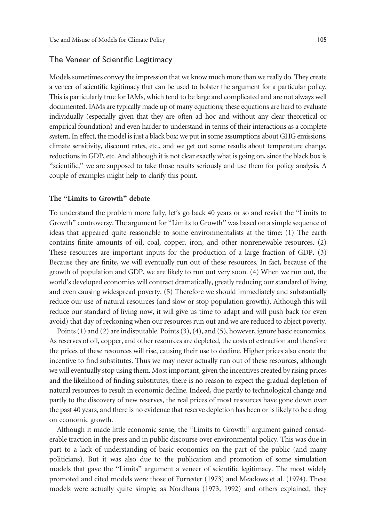#### The Veneer of Scientific Legitimacy

Models sometimes convey the impression that we know much more than we really do. They create a veneer of scientific legitimacy that can be used to bolster the argument for a particular policy. This is particularly true for IAMs, which tend to be large and complicated and are not always well documented. IAMs are typically made up of many equations; these equations are hard to evaluate individually (especially given that they are often ad hoc and without any clear theoretical or empirical foundation) and even harder to understand in terms of their interactions as a complete system. In effect, the model is just a black box: we put in some assumptions about GHG emissions, climate sensitivity, discount rates, etc., and we get out some results about temperature change, reductions in GDP, etc. And although it is not clear exactly what is going on, since the black box is "scientific," we are supposed to take those results seriously and use them for policy analysis. A couple of examples might help to clarify this point.

#### The "Limits to Growth" debate

To understand the problem more fully, let's go back 40 years or so and revisit the "Limits to Growth" controversy. The argument for "Limits to Growth" was based on a simple sequence of ideas that appeared quite reasonable to some environmentalists at the time: (1) The earth contains finite amounts of oil, coal, copper, iron, and other nonrenewable resources. (2) These resources are important inputs for the production of a large fraction of GDP. (3) Because they are finite, we will eventually run out of these resources. In fact, because of the growth of population and GDP, we are likely to run out very soon. (4) When we run out, the world's developed economies will contract dramatically, greatly reducing our standard of living and even causing widespread poverty. (5) Therefore we should immediately and substantially reduce our use of natural resources (and slow or stop population growth). Although this will reduce our standard of living now, it will give us time to adapt and will push back (or even avoid) that day of reckoning when our resources run out and we are reduced to abject poverty.

Points (1) and (2) are indisputable. Points (3), (4), and (5), however, ignore basic economics. As reserves of oil, copper, and other resources are depleted, the costs of extraction and therefore the prices of these resources will rise, causing their use to decline. Higher prices also create the incentive to find substitutes. Thus we may never actually run out of these resources, although we will eventually stop using them. Most important, given the incentives created by rising prices and the likelihood of finding substitutes, there is no reason to expect the gradual depletion of natural resources to result in economic decline. Indeed, due partly to technological change and partly to the discovery of new reserves, the real prices of most resources have gone down over the past 40 years, and there is no evidence that reserve depletion has been or is likely to be a drag on economic growth.

Although it made little economic sense, the "Limits to Growth" argument gained considerable traction in the press and in public discourse over environmental policy. This was due in part to a lack of understanding of basic economics on the part of the public (and many politicians). But it was also due to the publication and promotion of some simulation models that gave the "Limits" argument a veneer of scientific legitimacy. The most widely promoted and cited models were those of [Forrester \(1973\)](#page-13-0) and [Meadows et al. \(1974\).](#page-13-0) These models were actually quite simple; as [Nordhaus \(1973](#page-13-0), [1992\)](#page-13-0) and others explained, they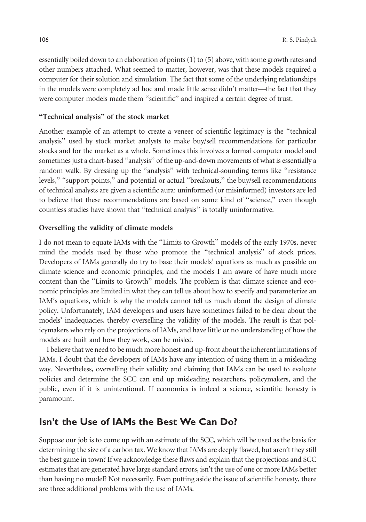essentially boiled down to an elaboration of points (1) to (5) above, with some growth rates and other numbers attached. What seemed to matter, however, was that these models required a computer for their solution and simulation. The fact that some of the underlying relationships in the models were completely ad hoc and made little sense didn't matter—the fact that they were computer models made them "scientific" and inspired a certain degree of trust.

#### "Technical analysis" of the stock market

Another example of an attempt to create a veneer of scientific legitimacy is the "technical analysis" used by stock market analysts to make buy/sell recommendations for particular stocks and for the market as a whole. Sometimes this involves a formal computer model and sometimes just a chart-based "analysis" of the up-and-down movements of what is essentially a random walk. By dressing up the "analysis" with technical-sounding terms like "resistance levels," "support points," and potential or actual "breakouts," the buy/sell recommendations of technical analysts are given a scientific aura: uninformed (or misinformed) investors are led to believe that these recommendations are based on some kind of "science," even though countless studies have shown that "technical analysis" is totally uninformative.

#### Overselling the validity of climate models

I do not mean to equate IAMs with the "Limits to Growth" models of the early 1970s, never mind the models used by those who promote the "technical analysis" of stock prices. Developers of IAMs generally do try to base their models' equations as much as possible on climate science and economic principles, and the models I am aware of have much more content than the "Limits to Growth" models. The problem is that climate science and economic principles are limited in what they can tell us about how to specify and parameterize an IAM's equations, which is why the models cannot tell us much about the design of climate policy. Unfortunately, IAM developers and users have sometimes failed to be clear about the models' inadequacies, thereby overselling the validity of the models. The result is that policymakers who rely on the projections of IAMs, and have little or no understanding of how the models are built and how they work, can be misled.

I believe that we need to be much more honest and up-front about the inherent limitations of IAMs. I doubt that the developers of IAMs have any intention of using them in a misleading way. Nevertheless, overselling their validity and claiming that IAMs can be used to evaluate policies and determine the SCC can end up misleading researchers, policymakers, and the public, even if it is unintentional. If economics is indeed a science, scientific honesty is paramount.

### Isn't the Use of IAMs the Best We Can Do?

Suppose our job is to come up with an estimate of the SCC, which will be used as the basis for determining the size of a carbon tax. We know that IAMs are deeply flawed, but aren't they still the best game in town? If we acknowledge these flaws and explain that the projections and SCC estimates that are generated have large standard errors, isn't the use of one or more IAMs better than having no model? Not necessarily. Even putting aside the issue of scientific honesty, there are three additional problems with the use of IAMs.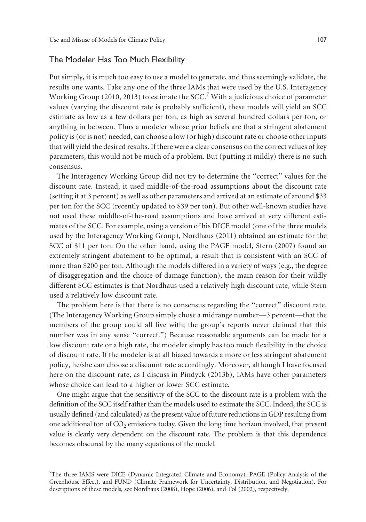#### The Modeler Has Too Much Flexibility

Put simply, it is much too easy to use a model to generate, and thus seemingly validate, the results one wants. Take any one of the three IAMs that were used by the U.S. [Interagency](#page-13-0) [Working Group \(2010, 2013](#page-13-0)) to estimate the SCC.<sup>7</sup> With a judicious choice of parameter values (varying the discount rate is probably sufficient), these models will yield an SCC estimate as low as a few dollars per ton, as high as several hundred dollars per ton, or anything in between. Thus a modeler whose prior beliefs are that a stringent abatement policy is (or is not) needed, can choose a low (or high) discount rate or choose other inputs that will yield the desired results. If there were a clear consensus on the correct values of key parameters, this would not be much of a problem. But (putting it mildly) there is no such consensus.

The Interagency Working Group did not try to determine the "correct" values for the discount rate. Instead, it used middle-of-the-road assumptions about the discount rate (setting it at 3 percent) as well as other parameters and arrived at an estimate of around \$33 per ton for the SCC (recently updated to \$39 per ton). But other well-known studies have not used these middle-of-the-road assumptions and have arrived at very different estimates of the SCC. For example, using a version of his DICE model (one of the three models used by the Interagency Working Group), [Nordhaus \(2011\)](#page-13-0) obtained an estimate for the SCC of \$11 per ton. On the other hand, using the PAGE model, [Stern \(2007\)](#page-14-0) found an extremely stringent abatement to be optimal, a result that is consistent with an SCC of more than \$200 per ton. Although the models differed in a variety of ways (e.g., the degree of disaggregation and the choice of damage function), the main reason for their wildly different SCC estimates is that Nordhaus used a relatively high discount rate, while Stern used a relatively low discount rate.

The problem here is that there is no consensus regarding the "correct" discount rate. (The Interagency Working Group simply chose a midrange number—3 percent—that the members of the group could all live with; the group's reports never claimed that this number was in any sense "correct.") Because reasonable arguments can be made for a low discount rate or a high rate, the modeler simply has too much flexibility in the choice of discount rate. If the modeler is at all biased towards a more or less stringent abatement policy, he/she can choose a discount rate accordingly. Moreover, although I have focused here on the discount rate, as I discuss in [Pindyck \(2013b\)](#page-13-0), IAMs have other parameters whose choice can lead to a higher or lower SCC estimate.

One might argue that the sensitivity of the SCC to the discount rate is a problem with the definition of the SCC itself rather than the models used to estimate the SCC. Indeed, the SCC is usually defined (and calculated) as the present value of future reductions in GDP resulting from one additional ton of  $CO<sub>2</sub>$  emissions today. Given the long time horizon involved, that present value is clearly very dependent on the discount rate. The problem is that this dependence becomes obscured by the many equations of the model.

<sup>&</sup>lt;sup>7</sup>The three IAMS were DICE (Dynamic Integrated Climate and Economy), PAGE (Policy Analysis of the Greenhouse Effect), and FUND (Climate Framework for Uncertainty, Distribution, and Negotiation). For descriptions of these models, see [Nordhaus \(2008\), Hope \(2006\)](#page-13-0), and [Tol \(2002\),](#page-14-0) respectively.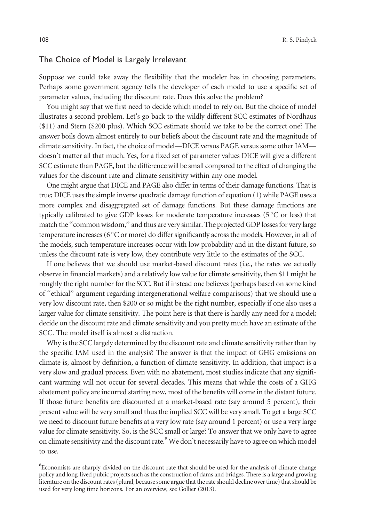#### The Choice of Model is Largely Irrelevant

Suppose we could take away the flexibility that the modeler has in choosing parameters. Perhaps some government agency tells the developer of each model to use a specific set of parameter values, including the discount rate. Does this solve the problem?

You might say that we first need to decide which model to rely on. But the choice of model illustrates a second problem. Let's go back to the wildly different SCC estimates of Nordhaus (\$11) and Stern (\$200 plus). Which SCC estimate should we take to be the correct one? The answer boils down almost entirely to our beliefs about the discount rate and the magnitude of climate sensitivity. In fact, the choice of model—DICE versus PAGE versus some other IAM doesn't matter all that much. Yes, for a fixed set of parameter values DICE will give a different SCC estimate than PAGE, but the difference will be small compared to the effect of changing the values for the discount rate and climate sensitivity within any one model.

One might argue that DICE and PAGE also differ in terms of their damage functions. That is true; DICE uses the simple inverse quadratic damage function of equation (1) while PAGE uses a more complex and disaggregated set of damage functions. But these damage functions are typically calibrated to give GDP losses for moderate temperature increases ( $5^{\circ}$ C or less) that match the "common wisdom," and thus are very similar. The projected GDP losses for very large temperature increases (6 °C or more) do differ significantly across the models. However, in all of the models, such temperature increases occur with low probability and in the distant future, so unless the discount rate is very low, they contribute very little to the estimates of the SCC.

If one believes that we should use market-based discount rates (i.e., the rates we actually observe in financial markets) and a relatively low value for climate sensitivity, then \$11 might be roughly the right number for the SCC. But if instead one believes (perhaps based on some kind of "ethical" argument regarding intergenerational welfare comparisons) that we should use a very low discount rate, then \$200 or so might be the right number, especially if one also uses a larger value for climate sensitivity. The point here is that there is hardly any need for a model; decide on the discount rate and climate sensitivity and you pretty much have an estimate of the SCC. The model itself is almost a distraction.

Why is the SCC largely determined by the discount rate and climate sensitivity rather than by the specific IAM used in the analysis? The answer is that the impact of GHG emissions on climate is, almost by definition, a function of climate sensitivity. In addition, that impact is a very slow and gradual process. Even with no abatement, most studies indicate that any significant warming will not occur for several decades. This means that while the costs of a GHG abatement policy are incurred starting now, most of the benefits will come in the distant future. If those future benefits are discounted at a market-based rate (say around 5 percent), their present value will be very small and thus the implied SCC will be very small. To get a large SCC we need to discount future benefits at a very low rate (say around 1 percent) or use a very large value for climate sensitivity. So, is the SCC small or large? To answer that we only have to agree on climate sensitivity and the discount rate.<sup>8</sup> We don't necessarily have to agree on which model to use.

<sup>8</sup>Economists are sharply divided on the discount rate that should be used for the analysis of climate change policy and long-lived public projects such as the construction of dams and bridges. There is a large and growing literature on the discount rates (plural, because some argue that the rate should decline over time) that should be used for very long time horizons. For an overview, see [Gollier \(2013\).](#page-13-0)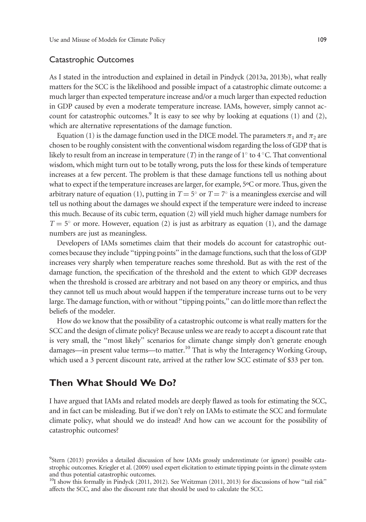#### Catastrophic Outcomes

As I stated in the introduction and explained in detail in Pindyck [\(2013a](#page-13-0), [2013b\)](#page-13-0), what really matters for the SCC is the likelihood and possible impact of a catastrophic climate outcome: a much larger than expected temperature increase and/or a much larger than expected reduction in GDP caused by even a moderate temperature increase. IAMs, however, simply cannot account for catastrophic outcomes.<sup>9</sup> It is easy to see why by looking at equations (1) and (2), which are alternative representations of the damage function.

Equation (1) is the damage function used in the DICE model. The parameters  $\pi_1$  and  $\pi_2$  are chosen to be roughly consistent with the conventional wisdom regarding the loss of GDP that is likely to result from an increase in temperature (*T*) in the range of 1 $^{\circ}$  to 4 $^{\circ}$ C. That conventional wisdom, which might turn out to be totally wrong, puts the loss for these kinds of temperature increases at a few percent. The problem is that these damage functions tell us nothing about what to expect if the temperature increases are larger, for example, 5°C or more. Thus, given the arbitrary nature of equation (1), putting in  $T = 5^{\circ}$  or  $T = 7^{\circ}$  is a meaningless exercise and will tell us nothing about the damages we should expect if the temperature were indeed to increase this much. Because of its cubic term, equation (2) will yield much higher damage numbers for  $T = 5^{\circ}$  or more. However, equation (2) is just as arbitrary as equation (1), and the damage numbers are just as meaningless.

Developers of IAMs sometimes claim that their models do account for catastrophic outcomes because they include "tipping points" in the damage functions, such that the loss of GDP increases very sharply when temperature reaches some threshold. But as with the rest of the damage function, the specification of the threshold and the extent to which GDP decreases when the threshold is crossed are arbitrary and not based on any theory or empirics, and thus they cannot tell us much about would happen if the temperature increase turns out to be very large. The damage function, with or without "tipping points," can do little more than reflect the beliefs of the modeler.

How do we know that the possibility of a catastrophic outcome is what really matters for the SCC and the design of climate policy? Because unless we are ready to accept a discount rate that is very small, the "most likely" scenarios for climate change simply don't generate enough damages—in present value terms—to matter.<sup>10</sup> That is why the Interagency Working Group, which used a 3 percent discount rate, arrived at the rather low SCC estimate of \$33 per ton.

### Then What Should We Do?

I have argued that IAMs and related models are deeply flawed as tools for estimating the SCC, and in fact can be misleading. But if we don't rely on IAMs to estimate the SCC and formulate climate policy, what should we do instead? And how can we account for the possibility of catastrophic outcomes?

<sup>&</sup>lt;sup>9</sup>[Stern \(2013\)](#page-14-0) provides a detailed discussion of how IAMs grossly underestimate (or ignore) possible catastrophic outcomes. [Kriegler et al. \(2009\)](#page-13-0) used expert elicitation to estimate tipping points in the climate system and thus potential catastrophic outcomes.

 $10I$  show this formally in [Pindyck \(2011, 2012](#page-13-0)). See [Weitzman \(2011](#page-14-0), [2013](#page-14-0)) for discussions of how "tail risk" affects the SCC, and also the discount rate that should be used to calculate the SCC.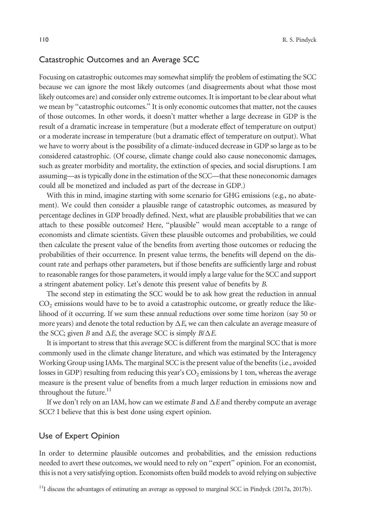### Catastrophic Outcomes and an Average SCC

Focusing on catastrophic outcomes may somewhat simplify the problem of estimating the SCC because we can ignore the most likely outcomes (and disagreements about what those most likely outcomes are) and consider only extreme outcomes. It is important to be clear about what we mean by "catastrophic outcomes." It is only economic outcomes that matter, not the causes of those outcomes. In other words, it doesn't matter whether a large decrease in GDP is the result of a dramatic increase in temperature (but a moderate effect of temperature on output) or a moderate increase in temperature (but a dramatic effect of temperature on output). What we have to worry about is the possibility of a climate-induced decrease in GDP so large as to be considered catastrophic. (Of course, climate change could also cause noneconomic damages, such as greater morbidity and mortality, the extinction of species, and social disruptions. I am assuming—as is typically done in the estimation of the SCC—that these noneconomic damages could all be monetized and included as part of the decrease in GDP.)

With this in mind, imagine starting with some scenario for GHG emissions (e.g., no abatement). We could then consider a plausible range of catastrophic outcomes, as measured by percentage declines in GDP broadly defined. Next, what are plausible probabilities that we can attach to these possible outcomes? Here, "plausible" would mean acceptable to a range of economists and climate scientists. Given these plausible outcomes and probabilities, we could then calculate the present value of the benefits from averting those outcomes or reducing the probabilities of their occurrence. In present value terms, the benefits will depend on the discount rate and perhaps other parameters, but if those benefits are sufficiently large and robust to reasonable ranges for those parameters, it would imply a large value for the SCC and support a stringent abatement policy. Let's denote this present value of benefits by B.

The second step in estimating the SCC would be to ask how great the reduction in annual  $CO<sub>2</sub>$  emissions would have to be to avoid a catastrophic outcome, or greatly reduce the likelihood of it occurring. If we sum these annual reductions over some time horizon (say 50 or more years) and denote the total reduction by  $\Delta E$ , we can then calculate an average measure of the SCC; given *B* and  $\Delta E$ , the average SCC is simply  $B/\Delta E$ .

It is important to stress that this average SCC is different from the marginal SCC that is more commonly used in the climate change literature, and which was estimated by the Interagency Working Group using IAMs. The marginal SCC is the present value of the benefits (i.e., avoided losses in GDP) resulting from reducing this year's  $CO<sub>2</sub>$  emissions by 1 ton, whereas the average measure is the present value of benefits from a much larger reduction in emissions now and throughout the future. $11$ 

If we don't rely on an IAM, how can we estimate B and  $\Delta E$  and thereby compute an average SCC? I believe that this is best done using expert opinion.

### Use of Expert Opinion

In order to determine plausible outcomes and probabilities, and the emission reductions needed to avert these outcomes, we would need to rely on "expert" opinion. For an economist, this is not a very satisfying option. Economists often build models to avoid relying on subjective

 $11$ I discuss the advantages of estimating an average as opposed to marginal SCC in [Pindyck \(2017a,](#page-13-0) [2017b](#page-14-0)).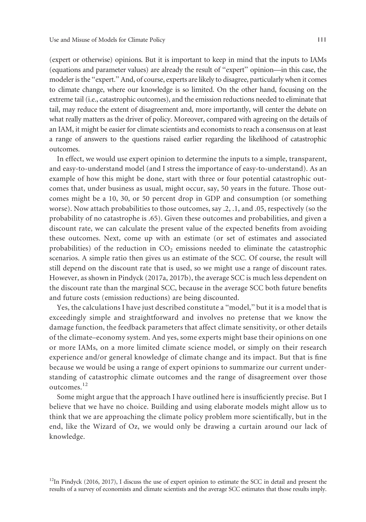(expert or otherwise) opinions. But it is important to keep in mind that the inputs to IAMs (equations and parameter values) are already the result of "expert" opinion—in this case, the modeler is the "expert." And, of course, experts are likely to disagree, particularly when it comes to climate change, where our knowledge is so limited. On the other hand, focusing on the extreme tail (i.e., catastrophic outcomes), and the emission reductions needed to eliminate that tail, may reduce the extent of disagreement and, more importantly, will center the debate on what really matters as the driver of policy. Moreover, compared with agreeing on the details of an IAM, it might be easier for climate scientists and economists to reach a consensus on at least a range of answers to the questions raised earlier regarding the likelihood of catastrophic outcomes.

In effect, we would use expert opinion to determine the inputs to a simple, transparent, and easy-to-understand model (and I stress the importance of easy-to-understand). As an example of how this might be done, start with three or four potential catastrophic outcomes that, under business as usual, might occur, say, 50 years in the future. Those outcomes might be a 10, 30, or 50 percent drop in GDP and consumption (or something worse). Now attach probabilities to those outcomes, say .2, .1, and .05, respectively (so the probability of no catastrophe is .65). Given these outcomes and probabilities, and given a discount rate, we can calculate the present value of the expected benefits from avoiding these outcomes. Next, come up with an estimate (or set of estimates and associated probabilities) of the reduction in  $CO<sub>2</sub>$  emissions needed to eliminate the catastrophic scenarios. A simple ratio then gives us an estimate of the SCC. Of course, the result will still depend on the discount rate that is used, so we might use a range of discount rates. However, as shown in [Pindyck \(2017a](#page-13-0), [2017b\)](#page-14-0), the average SCC is much less dependent on the discount rate than the marginal SCC, because in the average SCC both future benefits and future costs (emission reductions) are being discounted.

Yes, the calculations I have just described constitute a "model," but it is a model that is exceedingly simple and straightforward and involves no pretense that we know the damage function, the feedback parameters that affect climate sensitivity, or other details of the climate–economy system. And yes, some experts might base their opinions on one or more IAMs, on a more limited climate science model, or simply on their research experience and/or general knowledge of climate change and its impact. But that is fine because we would be using a range of expert opinions to summarize our current understanding of catastrophic climate outcomes and the range of disagreement over those outcomes.<sup>12</sup>

Some might argue that the approach I have outlined here is insufficiently precise. But I believe that we have no choice. Building and using elaborate models might allow us to think that we are approaching the climate policy problem more scientifically, but in the end, like the Wizard of Oz, we would only be drawing a curtain around our lack of knowledge.

 $12$ In [Pindyck \(2016](#page-13-0), [2017\)](#page-14-0), I discuss the use of expert opinion to estimate the SCC in detail and present the results of a survey of economists and climate scientists and the average SCC estimates that those results imply.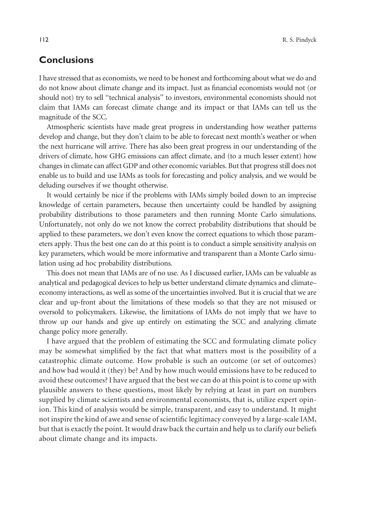# **Conclusions**

I have stressed that as economists, we need to be honest and forthcoming about what we do and do not know about climate change and its impact. Just as financial economists would not (or should not) try to sell "technical analysis" to investors, environmental economists should not claim that IAMs can forecast climate change and its impact or that IAMs can tell us the magnitude of the SCC.

Atmospheric scientists have made great progress in understanding how weather patterns develop and change, but they don't claim to be able to forecast next month's weather or when the next hurricane will arrive. There has also been great progress in our understanding of the drivers of climate, how GHG emissions can affect climate, and (to a much lesser extent) how changes in climate can affect GDP and other economic variables. But that progress still does not enable us to build and use IAMs as tools for forecasting and policy analysis, and we would be deluding ourselves if we thought otherwise.

It would certainly be nice if the problems with IAMs simply boiled down to an imprecise knowledge of certain parameters, because then uncertainty could be handled by assigning probability distributions to those parameters and then running Monte Carlo simulations. Unfortunately, not only do we not know the correct probability distributions that should be applied to these parameters, we don't even know the correct equations to which those parameters apply. Thus the best one can do at this point is to conduct a simple sensitivity analysis on key parameters, which would be more informative and transparent than a Monte Carlo simulation using ad hoc probability distributions.

This does not mean that IAMs are of no use. As I discussed earlier, IAMs can be valuable as analytical and pedagogical devices to help us better understand climate dynamics and climate– economy interactions, as well as some of the uncertainties involved. But it is crucial that we are clear and up-front about the limitations of these models so that they are not misused or oversold to policymakers. Likewise, the limitations of IAMs do not imply that we have to throw up our hands and give up entirely on estimating the SCC and analyzing climate change policy more generally.

I have argued that the problem of estimating the SCC and formulating climate policy may be somewhat simplified by the fact that what matters most is the possibility of a catastrophic climate outcome. How probable is such an outcome (or set of outcomes) and how bad would it (they) be? And by how much would emissions have to be reduced to avoid these outcomes? I have argued that the best we can do at this point is to come up with plausible answers to these questions, most likely by relying at least in part on numbers supplied by climate scientists and environmental economists, that is, utilize expert opinion. This kind of analysis would be simple, transparent, and easy to understand. It might not inspire the kind of awe and sense of scientific legitimacy conveyed by a large-scale IAM, but that is exactly the point. It would draw back the curtain and help us to clarify our beliefs about climate change and its impacts.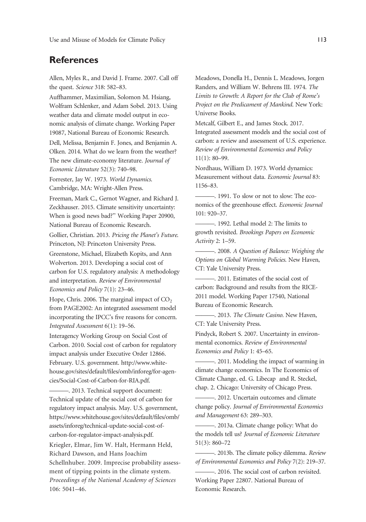## <span id="page-13-0"></span>**References**

Allen, Myles R., and David J. Frame. 2007. Call off the quest. Science 318: 582–83.

Auffhammer, Maximilian, Solomon M. Hsiang, Wolfram Schlenker, and Adam Sobel. 2013. Using weather data and climate model output in economic analysis of climate change. Working Paper 19087, National Bureau of Economic Research. Dell, Melissa, Benjamin F. Jones, and Benjamin A. Olken. 2014. What do we learn from the weather? The new climate-economy literature. Journal of Economic Literature 52(3): 740–98.

Forrester, Jay W. 1973. World Dynamics. Cambridge, MA: Wright-Allen Press.

Freeman, Mark C., Gernot Wagner, and Richard J. Zeckhauser. 2015. Climate sensitivity uncertainty: When is good news bad?" Working Paper 20900, National Bureau of Economic Research.

Gollier, Christian. 2013. Pricing the Planet's Future. Princeton, NJ: Princeton University Press.

Greenstone, Michael, Elizabeth Kopits, and Ann Wolverton. 2013. Developing a social cost of carbon for U.S. regulatory analysis: A methodology and interpretation. Review of Environmental Economics and Policy 7(1): 23–46.

Hope, Chris. 2006. The marginal impact of  $CO<sub>2</sub>$ from PAGE2002: An integrated assessment model incorporating the IPCC's five reasons for concern. Integrated Assessment 6(1): 19–56.

Interagency Working Group on Social Cost of Carbon. 2010. Social cost of carbon for regulatory impact analysis under Executive Order 12866. February. U.S. government. http://www.whitehouse.gov/sites/default/files/omb/inforeg/for-agencies/Social-Cost-of-Carbon-for-RIA.pdf.

———. 2013. Technical support document: Technical update of the social cost of carbon for regulatory impact analysis. May. U.S. government, https://www.whitehouse.gov/sites/default/files/omb/ assets/inforeg/technical-update-social-cost-ofcarbon-for-regulator-impact-analysis.pdf.

Kriegler, Elmar, Jim W. Halt, Hermann Held, Richard Dawson, and Hans Joachim Schellnhuber. 2009. Imprecise probability assessment of tipping points in the climate system. Proceedings of the National Academy of Sciences 106: 5041–46.

Meadows, Donella H., Dennis L. Meadows, Jorgen Randers, and William W. Behrens III. 1974. The Limits to Growth: A Report for the Club of Rome's Project on the Predicament of Mankind. New York: Universe Books.

Metcalf, Gilbert E., and James Stock. 2017. Integrated assessment models and the social cost of carbon: a review and assessment of U.S. experience. Review of Environmental Economics and Policy 11(1): 80–99.

Nordhaus, William D. 1973. World dynamics: Measurement without data. Economic Journal 83: 1156–83.

———. 1991. To slow or not to slow: The economics of the greenhouse effect. Economic Journal 101: 920–37.

———. 1992. Lethal model 2: The limits to growth revisited. Brookings Papers on Economic Activity 2: 1–59.

———. 2008. A Question of Balance: Weighing the Options on Global Warming Policies. New Haven, CT: Yale University Press.

———. 2011. Estimates of the social cost of carbon: Background and results from the RICE-2011 model. Working Paper 17540, National Bureau of Economic Research.

- 2013. The Climate Casino. New Haven, CT: Yale University Press.

Pindyck, Robert S. 2007. Uncertainty in environmental economics. Review of Environmental Economics and Policy 1: 45–65.

———. 2011. Modeling the impact of warming in climate change economics. In The Economics of Climate Change, ed. G. Libecap and R. Steckel, chap. 2. Chicago: University of Chicago Press.

———. 2012. Uncertain outcomes and climate change policy. Journal of Environmental Economics and Management 63: 289–303.

———. 2013a. Climate change policy: What do the models tell us? Journal of Economic Literature 51(3): 860–72

- 2013b. The climate policy dilemma. Review of Environmental Economics and Policy 7(2): 219–37.

———. 2016. The social cost of carbon revisited. Working Paper 22807. National Bureau of Economic Research.